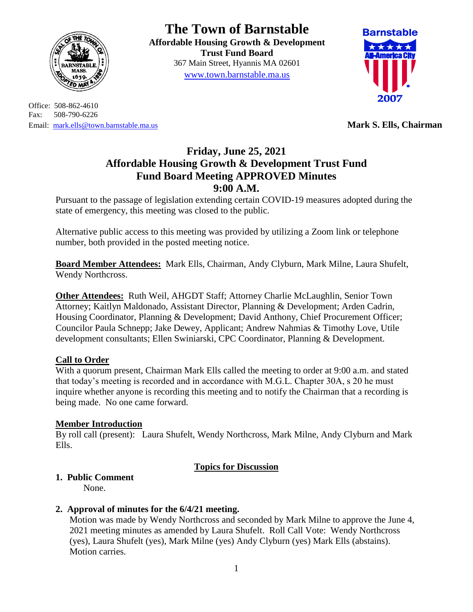

Office: 508-862-4610 Fax: 508-790-6226 Email: [mark.ells@town.barnstable.ma.us](mailto:mark.ells@town.barnstable.ma.us) **Mark S. Ells, Chairman**

**The Town of Barnstable Affordable Housing Growth & Development Trust Fund Board**  367 Main Street, Hyannis MA 02601 [www.town.barnstable.ma.us](http://www.town.barnstable.ma.us/)



# **Friday, June 25, 2021 Affordable Housing Growth & Development Trust Fund Fund Board Meeting APPROVED Minutes 9:00 A.M.**

Pursuant to the passage of legislation extending certain COVID-19 measures adopted during the state of emergency, this meeting was closed to the public.

Alternative public access to this meeting was provided by utilizing a Zoom link or telephone number, both provided in the posted meeting notice.

**Board Member Attendees:** Mark Ells, Chairman, Andy Clyburn, Mark Milne, Laura Shufelt, Wendy Northcross.

**Other Attendees:** Ruth Weil, AHGDT Staff; Attorney Charlie McLaughlin, Senior Town Attorney; Kaitlyn Maldonado, Assistant Director, Planning & Development; Arden Cadrin, Housing Coordinator, Planning & Development; David Anthony, Chief Procurement Officer; Councilor Paula Schnepp; Jake Dewey, Applicant; Andrew Nahmias & Timothy Love, Utile development consultants; Ellen Swiniarski, CPC Coordinator, Planning & Development.

## **Call to Order**

With a quorum present, Chairman Mark Ells called the meeting to order at 9:00 a.m. and stated that today's meeting is recorded and in accordance with M.G.L. Chapter 30A, s 20 he must inquire whether anyone is recording this meeting and to notify the Chairman that a recording is being made. No one came forward.

## **Member Introduction**

By roll call (present): Laura Shufelt, Wendy Northcross, Mark Milne, Andy Clyburn and Mark Ells.

## **Topics for Discussion**

## **1. Public Comment**

None.

## **2. Approval of minutes for the 6/4/21 meeting.**

Motion was made by Wendy Northcross and seconded by Mark Milne to approve the June 4, 2021 meeting minutes as amended by Laura Shufelt. Roll Call Vote: Wendy Northcross (yes), Laura Shufelt (yes), Mark Milne (yes) Andy Clyburn (yes) Mark Ells (abstains). Motion carries.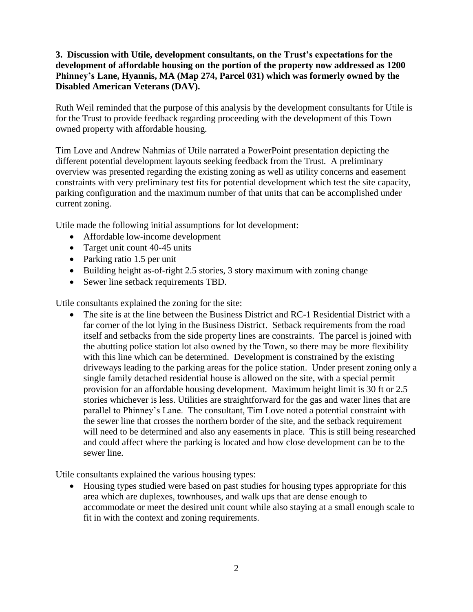### **3. Discussion with Utile, development consultants, on the Trust's expectations for the development of affordable housing on the portion of the property now addressed as 1200 Phinney's Lane, Hyannis, MA (Map 274, Parcel 031) which was formerly owned by the Disabled American Veterans (DAV).**

Ruth Weil reminded that the purpose of this analysis by the development consultants for Utile is for the Trust to provide feedback regarding proceeding with the development of this Town owned property with affordable housing.

Tim Love and Andrew Nahmias of Utile narrated a PowerPoint presentation depicting the different potential development layouts seeking feedback from the Trust. A preliminary overview was presented regarding the existing zoning as well as utility concerns and easement constraints with very preliminary test fits for potential development which test the site capacity, parking configuration and the maximum number of that units that can be accomplished under current zoning.

Utile made the following initial assumptions for lot development:

- Affordable low-income development
- Target unit count 40-45 units
- Parking ratio 1.5 per unit
- Building height as-of-right 2.5 stories, 3 story maximum with zoning change
- Sewer line setback requirements TBD.

Utile consultants explained the zoning for the site:

 The site is at the line between the Business District and RC-1 Residential District with a far corner of the lot lying in the Business District. Setback requirements from the road itself and setbacks from the side property lines are constraints. The parcel is joined with the abutting police station lot also owned by the Town, so there may be more flexibility with this line which can be determined. Development is constrained by the existing driveways leading to the parking areas for the police station. Under present zoning only a single family detached residential house is allowed on the site, with a special permit provision for an affordable housing development. Maximum height limit is 30 ft or 2.5 stories whichever is less. Utilities are straightforward for the gas and water lines that are parallel to Phinney's Lane. The consultant, Tim Love noted a potential constraint with the sewer line that crosses the northern border of the site, and the setback requirement will need to be determined and also any easements in place. This is still being researched and could affect where the parking is located and how close development can be to the sewer line.

Utile consultants explained the various housing types:

• Housing types studied were based on past studies for housing types appropriate for this area which are duplexes, townhouses, and walk ups that are dense enough to accommodate or meet the desired unit count while also staying at a small enough scale to fit in with the context and zoning requirements.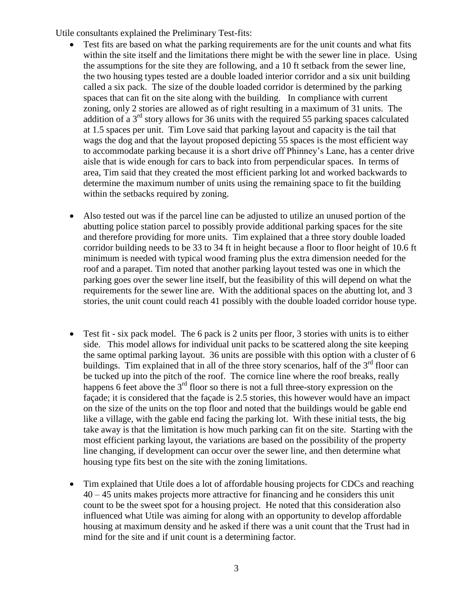Utile consultants explained the Preliminary Test-fits:

- Test fits are based on what the parking requirements are for the unit counts and what fits within the site itself and the limitations there might be with the sewer line in place. Using the assumptions for the site they are following, and a 10 ft setback from the sewer line, the two housing types tested are a double loaded interior corridor and a six unit building called a six pack. The size of the double loaded corridor is determined by the parking spaces that can fit on the site along with the building. In compliance with current zoning, only 2 stories are allowed as of right resulting in a maximum of 31 units. The addition of a  $3<sup>rd</sup>$  story allows for 36 units with the required 55 parking spaces calculated at 1.5 spaces per unit. Tim Love said that parking layout and capacity is the tail that wags the dog and that the layout proposed depicting 55 spaces is the most efficient way to accommodate parking because it is a short drive off Phinney's Lane, has a center drive aisle that is wide enough for cars to back into from perpendicular spaces. In terms of area, Tim said that they created the most efficient parking lot and worked backwards to determine the maximum number of units using the remaining space to fit the building within the setbacks required by zoning.
- Also tested out was if the parcel line can be adjusted to utilize an unused portion of the abutting police station parcel to possibly provide additional parking spaces for the site and therefore providing for more units. Tim explained that a three story double loaded corridor building needs to be 33 to 34 ft in height because a floor to floor height of 10.6 ft minimum is needed with typical wood framing plus the extra dimension needed for the roof and a parapet. Tim noted that another parking layout tested was one in which the parking goes over the sewer line itself, but the feasibility of this will depend on what the requirements for the sewer line are. With the additional spaces on the abutting lot, and 3 stories, the unit count could reach 41 possibly with the double loaded corridor house type.
- Test fit six pack model. The 6 pack is 2 units per floor, 3 stories with units is to either side. This model allows for individual unit packs to be scattered along the site keeping the same optimal parking layout. 36 units are possible with this option with a cluster of 6 buildings. Tim explained that in all of the three story scenarios, half of the  $3<sup>rd</sup>$  floor can be tucked up into the pitch of the roof. The cornice line where the roof breaks, really happens 6 feet above the  $3<sup>rd</sup>$  floor so there is not a full three-story expression on the façade; it is considered that the façade is 2.5 stories, this however would have an impact on the size of the units on the top floor and noted that the buildings would be gable end like a village, with the gable end facing the parking lot. With these initial tests, the big take away is that the limitation is how much parking can fit on the site. Starting with the most efficient parking layout, the variations are based on the possibility of the property line changing, if development can occur over the sewer line, and then determine what housing type fits best on the site with the zoning limitations.
- Tim explained that Utile does a lot of affordable housing projects for CDCs and reaching 40 – 45 units makes projects more attractive for financing and he considers this unit count to be the sweet spot for a housing project. He noted that this consideration also influenced what Utile was aiming for along with an opportunity to develop affordable housing at maximum density and he asked if there was a unit count that the Trust had in mind for the site and if unit count is a determining factor.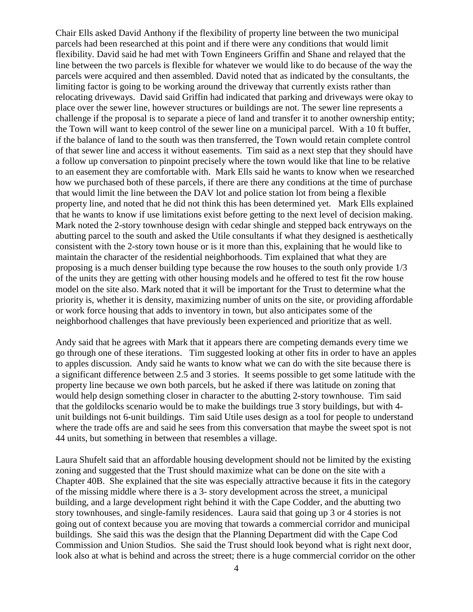Chair Ells asked David Anthony if the flexibility of property line between the two municipal parcels had been researched at this point and if there were any conditions that would limit flexibility. David said he had met with Town Engineers Griffin and Shane and relayed that the line between the two parcels is flexible for whatever we would like to do because of the way the parcels were acquired and then assembled. David noted that as indicated by the consultants, the limiting factor is going to be working around the driveway that currently exists rather than relocating driveways. David said Griffin had indicated that parking and driveways were okay to place over the sewer line, however structures or buildings are not. The sewer line represents a challenge if the proposal is to separate a piece of land and transfer it to another ownership entity; the Town will want to keep control of the sewer line on a municipal parcel. With a 10 ft buffer, if the balance of land to the south was then transferred, the Town would retain complete control of that sewer line and access it without easements. Tim said as a next step that they should have a follow up conversation to pinpoint precisely where the town would like that line to be relative to an easement they are comfortable with. Mark Ells said he wants to know when we researched how we purchased both of these parcels, if there are there any conditions at the time of purchase that would limit the line between the DAV lot and police station lot from being a flexible property line, and noted that he did not think this has been determined yet. Mark Ells explained that he wants to know if use limitations exist before getting to the next level of decision making. Mark noted the 2-story townhouse design with cedar shingle and stepped back entryways on the abutting parcel to the south and asked the Utile consultants if what they designed is aesthetically consistent with the 2-story town house or is it more than this, explaining that he would like to maintain the character of the residential neighborhoods. Tim explained that what they are proposing is a much denser building type because the row houses to the south only provide 1/3 of the units they are getting with other housing models and he offered to test fit the row house model on the site also. Mark noted that it will be important for the Trust to determine what the priority is, whether it is density, maximizing number of units on the site, or providing affordable or work force housing that adds to inventory in town, but also anticipates some of the neighborhood challenges that have previously been experienced and prioritize that as well.

Andy said that he agrees with Mark that it appears there are competing demands every time we go through one of these iterations. Tim suggested looking at other fits in order to have an apples to apples discussion. Andy said he wants to know what we can do with the site because there is a significant difference between 2.5 and 3 stories. It seems possible to get some latitude with the property line because we own both parcels, but he asked if there was latitude on zoning that would help design something closer in character to the abutting 2-story townhouse. Tim said that the goldilocks scenario would be to make the buildings true 3 story buildings, but with 4 unit buildings not 6-unit buildings. Tim said Utile uses design as a tool for people to understand where the trade offs are and said he sees from this conversation that maybe the sweet spot is not 44 units, but something in between that resembles a village.

Laura Shufelt said that an affordable housing development should not be limited by the existing zoning and suggested that the Trust should maximize what can be done on the site with a Chapter 40B. She explained that the site was especially attractive because it fits in the category of the missing middle where there is a 3- story development across the street, a municipal building, and a large development right behind it with the Cape Codder, and the abutting two story townhouses, and single-family residences. Laura said that going up 3 or 4 stories is not going out of context because you are moving that towards a commercial corridor and municipal buildings. She said this was the design that the Planning Department did with the Cape Cod Commission and Union Studios. She said the Trust should look beyond what is right next door, look also at what is behind and across the street; there is a huge commercial corridor on the other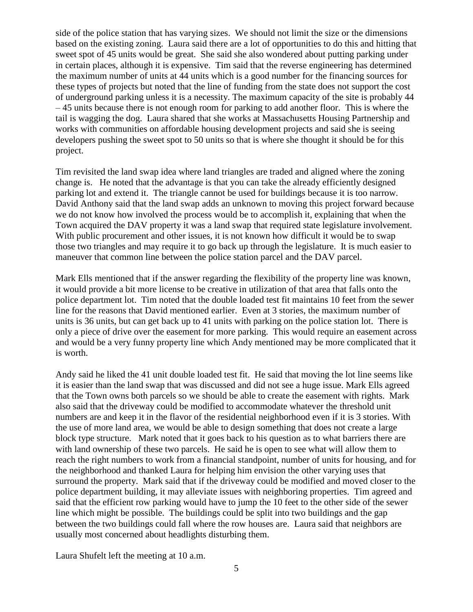side of the police station that has varying sizes. We should not limit the size or the dimensions based on the existing zoning. Laura said there are a lot of opportunities to do this and hitting that sweet spot of 45 units would be great. She said she also wondered about putting parking under in certain places, although it is expensive. Tim said that the reverse engineering has determined the maximum number of units at 44 units which is a good number for the financing sources for these types of projects but noted that the line of funding from the state does not support the cost of underground parking unless it is a necessity. The maximum capacity of the site is probably 44 – 45 units because there is not enough room for parking to add another floor. This is where the tail is wagging the dog. Laura shared that she works at Massachusetts Housing Partnership and works with communities on affordable housing development projects and said she is seeing developers pushing the sweet spot to 50 units so that is where she thought it should be for this project.

Tim revisited the land swap idea where land triangles are traded and aligned where the zoning change is. He noted that the advantage is that you can take the already efficiently designed parking lot and extend it. The triangle cannot be used for buildings because it is too narrow. David Anthony said that the land swap adds an unknown to moving this project forward because we do not know how involved the process would be to accomplish it, explaining that when the Town acquired the DAV property it was a land swap that required state legislature involvement. With public procurement and other issues, it is not known how difficult it would be to swap those two triangles and may require it to go back up through the legislature. It is much easier to maneuver that common line between the police station parcel and the DAV parcel.

Mark Ells mentioned that if the answer regarding the flexibility of the property line was known, it would provide a bit more license to be creative in utilization of that area that falls onto the police department lot. Tim noted that the double loaded test fit maintains 10 feet from the sewer line for the reasons that David mentioned earlier. Even at 3 stories, the maximum number of units is 36 units, but can get back up to 41 units with parking on the police station lot. There is only a piece of drive over the easement for more parking. This would require an easement across and would be a very funny property line which Andy mentioned may be more complicated that it is worth.

Andy said he liked the 41 unit double loaded test fit. He said that moving the lot line seems like it is easier than the land swap that was discussed and did not see a huge issue. Mark Ells agreed that the Town owns both parcels so we should be able to create the easement with rights. Mark also said that the driveway could be modified to accommodate whatever the threshold unit numbers are and keep it in the flavor of the residential neighborhood even if it is 3 stories. With the use of more land area, we would be able to design something that does not create a large block type structure. Mark noted that it goes back to his question as to what barriers there are with land ownership of these two parcels. He said he is open to see what will allow them to reach the right numbers to work from a financial standpoint, number of units for housing, and for the neighborhood and thanked Laura for helping him envision the other varying uses that surround the property. Mark said that if the driveway could be modified and moved closer to the police department building, it may alleviate issues with neighboring properties. Tim agreed and said that the efficient row parking would have to jump the 10 feet to the other side of the sewer line which might be possible. The buildings could be split into two buildings and the gap between the two buildings could fall where the row houses are. Laura said that neighbors are usually most concerned about headlights disturbing them.

Laura Shufelt left the meeting at 10 a.m.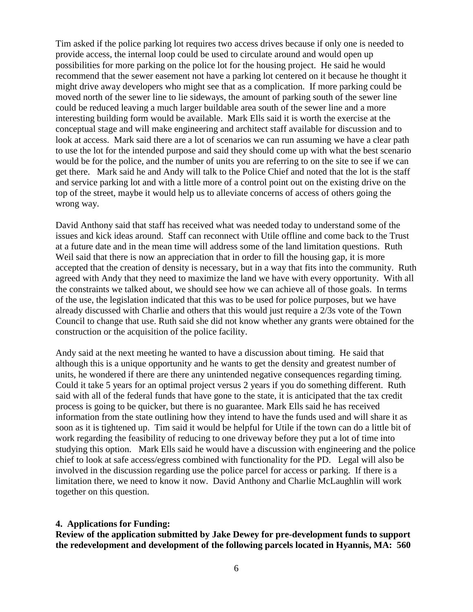Tim asked if the police parking lot requires two access drives because if only one is needed to provide access, the internal loop could be used to circulate around and would open up possibilities for more parking on the police lot for the housing project. He said he would recommend that the sewer easement not have a parking lot centered on it because he thought it might drive away developers who might see that as a complication. If more parking could be moved north of the sewer line to lie sideways, the amount of parking south of the sewer line could be reduced leaving a much larger buildable area south of the sewer line and a more interesting building form would be available. Mark Ells said it is worth the exercise at the conceptual stage and will make engineering and architect staff available for discussion and to look at access. Mark said there are a lot of scenarios we can run assuming we have a clear path to use the lot for the intended purpose and said they should come up with what the best scenario would be for the police, and the number of units you are referring to on the site to see if we can get there. Mark said he and Andy will talk to the Police Chief and noted that the lot is the staff and service parking lot and with a little more of a control point out on the existing drive on the top of the street, maybe it would help us to alleviate concerns of access of others going the wrong way.

David Anthony said that staff has received what was needed today to understand some of the issues and kick ideas around. Staff can reconnect with Utile offline and come back to the Trust at a future date and in the mean time will address some of the land limitation questions. Ruth Weil said that there is now an appreciation that in order to fill the housing gap, it is more accepted that the creation of density is necessary, but in a way that fits into the community. Ruth agreed with Andy that they need to maximize the land we have with every opportunity. With all the constraints we talked about, we should see how we can achieve all of those goals. In terms of the use, the legislation indicated that this was to be used for police purposes, but we have already discussed with Charlie and others that this would just require a 2/3s vote of the Town Council to change that use. Ruth said she did not know whether any grants were obtained for the construction or the acquisition of the police facility.

Andy said at the next meeting he wanted to have a discussion about timing. He said that although this is a unique opportunity and he wants to get the density and greatest number of units, he wondered if there are there any unintended negative consequences regarding timing. Could it take 5 years for an optimal project versus 2 years if you do something different. Ruth said with all of the federal funds that have gone to the state, it is anticipated that the tax credit process is going to be quicker, but there is no guarantee. Mark Ells said he has received information from the state outlining how they intend to have the funds used and will share it as soon as it is tightened up. Tim said it would be helpful for Utile if the town can do a little bit of work regarding the feasibility of reducing to one driveway before they put a lot of time into studying this option. Mark Ells said he would have a discussion with engineering and the police chief to look at safe access/egress combined with functionality for the PD. Legal will also be involved in the discussion regarding use the police parcel for access or parking. If there is a limitation there, we need to know it now. David Anthony and Charlie McLaughlin will work together on this question.

#### **4. Applications for Funding:**

**Review of the application submitted by Jake Dewey for pre-development funds to support the redevelopment and development of the following parcels located in Hyannis, MA: 560**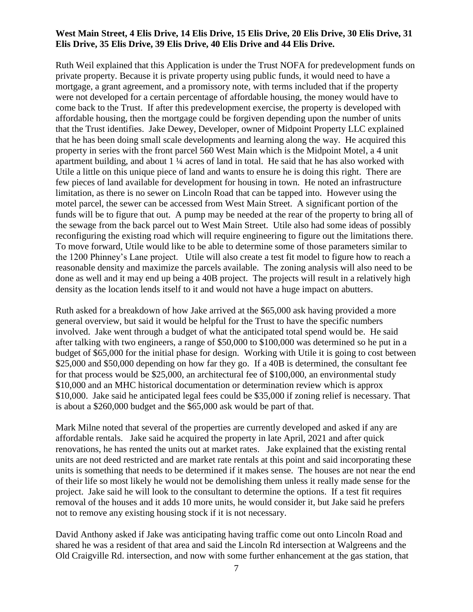#### **West Main Street, 4 Elis Drive, 14 Elis Drive, 15 Elis Drive, 20 Elis Drive, 30 Elis Drive, 31 Elis Drive, 35 Elis Drive, 39 Elis Drive, 40 Elis Drive and 44 Elis Drive.**

Ruth Weil explained that this Application is under the Trust NOFA for predevelopment funds on private property. Because it is private property using public funds, it would need to have a mortgage, a grant agreement, and a promissory note, with terms included that if the property were not developed for a certain percentage of affordable housing, the money would have to come back to the Trust. If after this predevelopment exercise, the property is developed with affordable housing, then the mortgage could be forgiven depending upon the number of units that the Trust identifies. Jake Dewey, Developer, owner of Midpoint Property LLC explained that he has been doing small scale developments and learning along the way. He acquired this property in series with the front parcel 560 West Main which is the Midpoint Motel, a 4 unit apartment building, and about 1 ¼ acres of land in total. He said that he has also worked with Utile a little on this unique piece of land and wants to ensure he is doing this right. There are few pieces of land available for development for housing in town. He noted an infrastructure limitation, as there is no sewer on Lincoln Road that can be tapped into. However using the motel parcel, the sewer can be accessed from West Main Street. A significant portion of the funds will be to figure that out. A pump may be needed at the rear of the property to bring all of the sewage from the back parcel out to West Main Street. Utile also had some ideas of possibly reconfiguring the existing road which will require engineering to figure out the limitations there. To move forward, Utile would like to be able to determine some of those parameters similar to the 1200 Phinney's Lane project. Utile will also create a test fit model to figure how to reach a reasonable density and maximize the parcels available. The zoning analysis will also need to be done as well and it may end up being a 40B project. The projects will result in a relatively high density as the location lends itself to it and would not have a huge impact on abutters.

Ruth asked for a breakdown of how Jake arrived at the \$65,000 ask having provided a more general overview, but said it would be helpful for the Trust to have the specific numbers involved. Jake went through a budget of what the anticipated total spend would be. He said after talking with two engineers, a range of \$50,000 to \$100,000 was determined so he put in a budget of \$65,000 for the initial phase for design. Working with Utile it is going to cost between \$25,000 and \$50,000 depending on how far they go. If a 40B is determined, the consultant fee for that process would be \$25,000, an architectural fee of \$100,000, an environmental study \$10,000 and an MHC historical documentation or determination review which is approx \$10,000. Jake said he anticipated legal fees could be \$35,000 if zoning relief is necessary. That is about a \$260,000 budget and the \$65,000 ask would be part of that.

Mark Milne noted that several of the properties are currently developed and asked if any are affordable rentals. Jake said he acquired the property in late April, 2021 and after quick renovations, he has rented the units out at market rates. Jake explained that the existing rental units are not deed restricted and are market rate rentals at this point and said incorporating these units is something that needs to be determined if it makes sense. The houses are not near the end of their life so most likely he would not be demolishing them unless it really made sense for the project. Jake said he will look to the consultant to determine the options. If a test fit requires removal of the houses and it adds 10 more units, he would consider it, but Jake said he prefers not to remove any existing housing stock if it is not necessary.

David Anthony asked if Jake was anticipating having traffic come out onto Lincoln Road and shared he was a resident of that area and said the Lincoln Rd intersection at Walgreens and the Old Craigville Rd. intersection, and now with some further enhancement at the gas station, that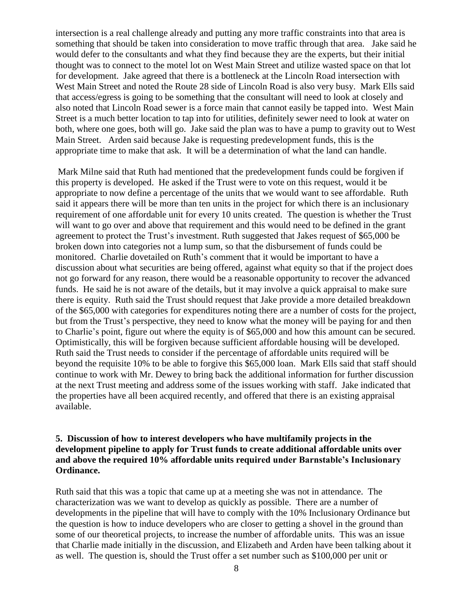intersection is a real challenge already and putting any more traffic constraints into that area is something that should be taken into consideration to move traffic through that area. Jake said he would defer to the consultants and what they find because they are the experts, but their initial thought was to connect to the motel lot on West Main Street and utilize wasted space on that lot for development. Jake agreed that there is a bottleneck at the Lincoln Road intersection with West Main Street and noted the Route 28 side of Lincoln Road is also very busy. Mark Ells said that access/egress is going to be something that the consultant will need to look at closely and also noted that Lincoln Road sewer is a force main that cannot easily be tapped into. West Main Street is a much better location to tap into for utilities, definitely sewer need to look at water on both, where one goes, both will go. Jake said the plan was to have a pump to gravity out to West Main Street. Arden said because Jake is requesting predevelopment funds, this is the appropriate time to make that ask. It will be a determination of what the land can handle.

Mark Milne said that Ruth had mentioned that the predevelopment funds could be forgiven if this property is developed. He asked if the Trust were to vote on this request, would it be appropriate to now define a percentage of the units that we would want to see affordable. Ruth said it appears there will be more than ten units in the project for which there is an inclusionary requirement of one affordable unit for every 10 units created. The question is whether the Trust will want to go over and above that requirement and this would need to be defined in the grant agreement to protect the Trust's investment. Ruth suggested that Jakes request of \$65,000 be broken down into categories not a lump sum, so that the disbursement of funds could be monitored. Charlie dovetailed on Ruth's comment that it would be important to have a discussion about what securities are being offered, against what equity so that if the project does not go forward for any reason, there would be a reasonable opportunity to recover the advanced funds. He said he is not aware of the details, but it may involve a quick appraisal to make sure there is equity. Ruth said the Trust should request that Jake provide a more detailed breakdown of the \$65,000 with categories for expenditures noting there are a number of costs for the project, but from the Trust's perspective, they need to know what the money will be paying for and then to Charlie's point, figure out where the equity is of \$65,000 and how this amount can be secured. Optimistically, this will be forgiven because sufficient affordable housing will be developed. Ruth said the Trust needs to consider if the percentage of affordable units required will be beyond the requisite 10% to be able to forgive this \$65,000 loan. Mark Ells said that staff should continue to work with Mr. Dewey to bring back the additional information for further discussion at the next Trust meeting and address some of the issues working with staff. Jake indicated that the properties have all been acquired recently, and offered that there is an existing appraisal available.

### **5. Discussion of how to interest developers who have multifamily projects in the development pipeline to apply for Trust funds to create additional affordable units over and above the required 10% affordable units required under Barnstable's Inclusionary Ordinance.**

Ruth said that this was a topic that came up at a meeting she was not in attendance. The characterization was we want to develop as quickly as possible. There are a number of developments in the pipeline that will have to comply with the 10% Inclusionary Ordinance but the question is how to induce developers who are closer to getting a shovel in the ground than some of our theoretical projects, to increase the number of affordable units. This was an issue that Charlie made initially in the discussion, and Elizabeth and Arden have been talking about it as well. The question is, should the Trust offer a set number such as \$100,000 per unit or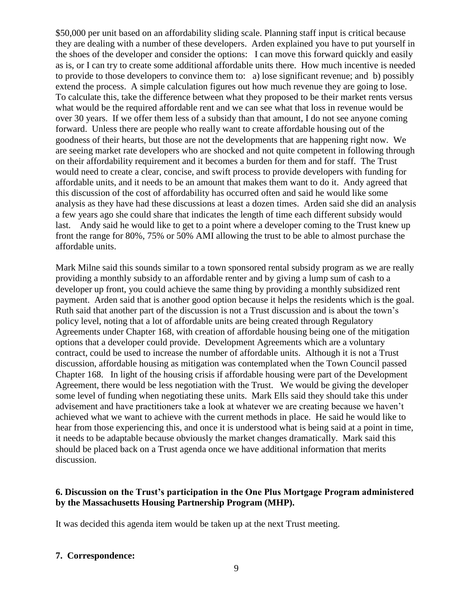\$50,000 per unit based on an affordability sliding scale. Planning staff input is critical because they are dealing with a number of these developers. Arden explained you have to put yourself in the shoes of the developer and consider the options: I can move this forward quickly and easily as is, or I can try to create some additional affordable units there. How much incentive is needed to provide to those developers to convince them to: a) lose significant revenue; and b) possibly extend the process. A simple calculation figures out how much revenue they are going to lose. To calculate this, take the difference between what they proposed to be their market rents versus what would be the required affordable rent and we can see what that loss in revenue would be over 30 years. If we offer them less of a subsidy than that amount, I do not see anyone coming forward. Unless there are people who really want to create affordable housing out of the goodness of their hearts, but those are not the developments that are happening right now. We are seeing market rate developers who are shocked and not quite competent in following through on their affordability requirement and it becomes a burden for them and for staff. The Trust would need to create a clear, concise, and swift process to provide developers with funding for affordable units, and it needs to be an amount that makes them want to do it. Andy agreed that this discussion of the cost of affordability has occurred often and said he would like some analysis as they have had these discussions at least a dozen times. Arden said she did an analysis a few years ago she could share that indicates the length of time each different subsidy would last. Andy said he would like to get to a point where a developer coming to the Trust knew up front the range for 80%, 75% or 50% AMI allowing the trust to be able to almost purchase the affordable units.

Mark Milne said this sounds similar to a town sponsored rental subsidy program as we are really providing a monthly subsidy to an affordable renter and by giving a lump sum of cash to a developer up front, you could achieve the same thing by providing a monthly subsidized rent payment. Arden said that is another good option because it helps the residents which is the goal. Ruth said that another part of the discussion is not a Trust discussion and is about the town's policy level, noting that a lot of affordable units are being created through Regulatory Agreements under Chapter 168, with creation of affordable housing being one of the mitigation options that a developer could provide. Development Agreements which are a voluntary contract, could be used to increase the number of affordable units. Although it is not a Trust discussion, affordable housing as mitigation was contemplated when the Town Council passed Chapter 168. In light of the housing crisis if affordable housing were part of the Development Agreement, there would be less negotiation with the Trust. We would be giving the developer some level of funding when negotiating these units. Mark Ells said they should take this under advisement and have practitioners take a look at whatever we are creating because we haven't achieved what we want to achieve with the current methods in place. He said he would like to hear from those experiencing this, and once it is understood what is being said at a point in time, it needs to be adaptable because obviously the market changes dramatically. Mark said this should be placed back on a Trust agenda once we have additional information that merits discussion.

### **6. Discussion on the Trust's participation in the One Plus Mortgage Program administered by the Massachusetts Housing Partnership Program (MHP).**

It was decided this agenda item would be taken up at the next Trust meeting.

#### **7. Correspondence:**